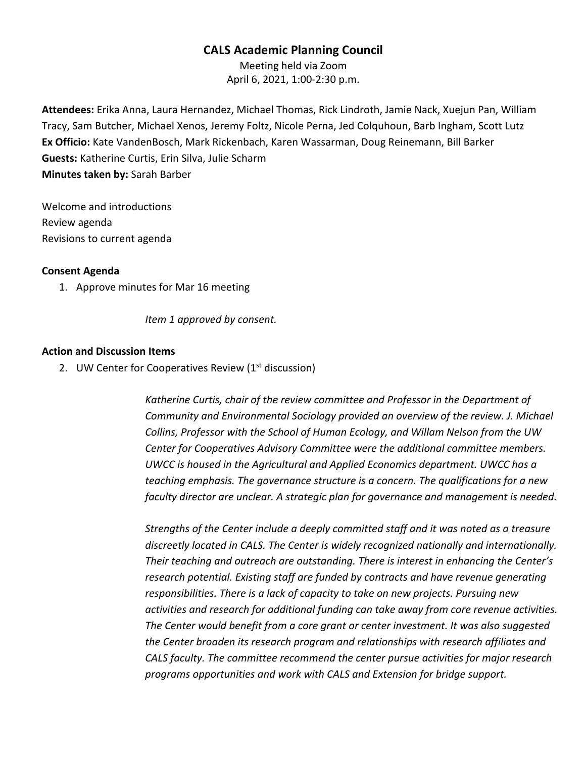# **CALS Academic Planning Council**

Meeting held via Zoom April 6, 2021, 1:00-2:30 p.m.

**Attendees:** Erika Anna, Laura Hernandez, Michael Thomas, Rick Lindroth, Jamie Nack, Xuejun Pan, William Tracy, Sam Butcher, Michael Xenos, Jeremy Foltz, Nicole Perna, Jed Colquhoun, Barb Ingham, Scott Lutz **Ex Officio:** Kate VandenBosch, Mark Rickenbach, Karen Wassarman, Doug Reinemann, Bill Barker **Guests:** Katherine Curtis, Erin Silva, Julie Scharm **Minutes taken by:** Sarah Barber

Welcome and introductions Review agenda Revisions to current agenda

#### **Consent Agenda**

1. Approve minutes for Mar 16 meeting

*Item 1 approved by consent.*

### **Action and Discussion Items**

2. UW Center for Cooperatives Review (1<sup>st</sup> discussion)

*Katherine Curtis, chair of the review committee and Professor in the Department of Community and Environmental Sociology provided an overview of the review. J. Michael Collins, Professor with the School of Human Ecology, and Willam Nelson from the UW Center for Cooperatives Advisory Committee were the additional committee members. UWCC is housed in the Agricultural and Applied Economics department. UWCC has a teaching emphasis. The governance structure is a concern. The qualifications for a new faculty director are unclear. A strategic plan for governance and management is needed.*

*Strengths of the Center include a deeply committed staff and it was noted as a treasure discreetly located in CALS. The Center is widely recognized nationally and internationally. Their teaching and outreach are outstanding. There is interest in enhancing the Center's research potential. Existing staff are funded by contracts and have revenue generating responsibilities. There is a lack of capacity to take on new projects. Pursuing new activities and research for additional funding can take away from core revenue activities. The Center would benefit from a core grant or center investment. It was also suggested the Center broaden its research program and relationships with research affiliates and CALS faculty. The committee recommend the center pursue activities for major research programs opportunities and work with CALS and Extension for bridge support.*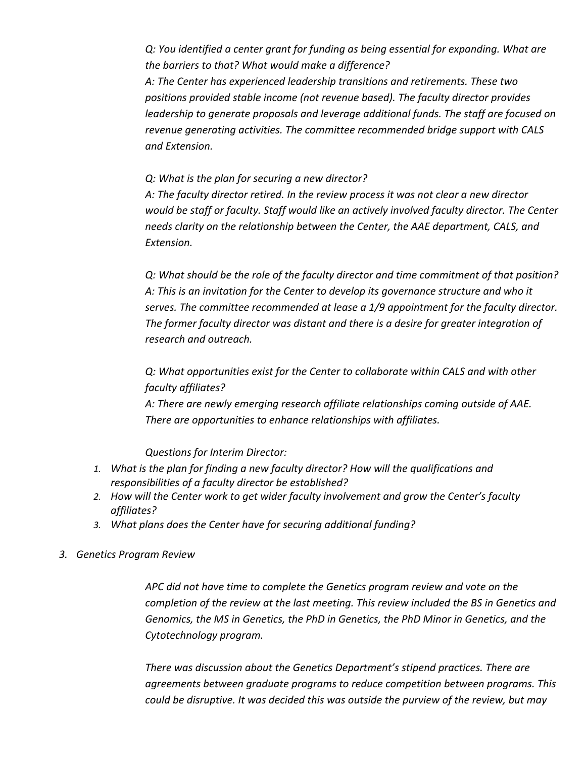*Q: You identified a center grant for funding as being essential for expanding. What are the barriers to that? What would make a difference?* 

*A: The Center has experienced leadership transitions and retirements. These two positions provided stable income (not revenue based). The faculty director provides leadership to generate proposals and leverage additional funds. The staff are focused on revenue generating activities. The committee recommended bridge support with CALS and Extension.* 

*Q: What is the plan for securing a new director?*

*A: The faculty director retired. In the review process it was not clear a new director would be staff or faculty. Staff would like an actively involved faculty director. The Center needs clarity on the relationship between the Center, the AAE department, CALS, and Extension.*

*Q: What should be the role of the faculty director and time commitment of that position? A: This is an invitation for the Center to develop its governance structure and who it serves. The committee recommended at lease a 1/9 appointment for the faculty director. The former faculty director was distant and there is a desire for greater integration of research and outreach.* 

*Q: What opportunities exist for the Center to collaborate within CALS and with other faculty affiliates?*

*A: There are newly emerging research affiliate relationships coming outside of AAE. There are opportunities to enhance relationships with affiliates.* 

*Questions for Interim Director:*

- *1. What is the plan for finding a new faculty director? How will the qualifications and responsibilities of a faculty director be established?*
- *2. How will the Center work to get wider faculty involvement and grow the Center's faculty affiliates?*
- *3. What plans does the Center have for securing additional funding?*
- *3. Genetics Program Review*

*APC did not have time to complete the Genetics program review and vote on the completion of the review at the last meeting. This review included the BS in Genetics and Genomics, the MS in Genetics, the PhD in Genetics, the PhD Minor in Genetics, and the Cytotechnology program.* 

*There was discussion about the Genetics Department's stipend practices. There are agreements between graduate programs to reduce competition between programs. This could be disruptive. It was decided this was outside the purview of the review, but may*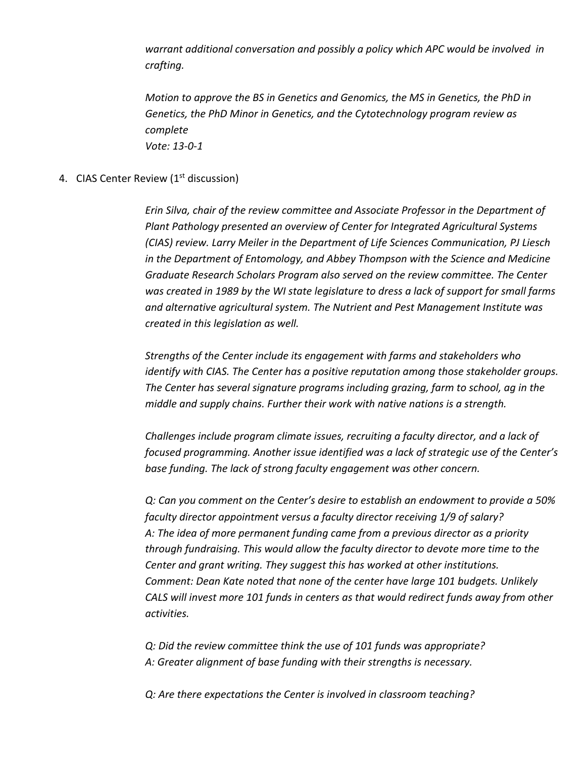*warrant additional conversation and possibly a policy which APC would be involved in crafting.* 

*Motion to approve the BS in Genetics and Genomics, the MS in Genetics, the PhD in Genetics, the PhD Minor in Genetics, and the Cytotechnology program review as complete Vote: 13-0-1*

### 4. CIAS Center Review (1<sup>st</sup> discussion)

*Erin Silva, chair of the review committee and Associate Professor in the Department of Plant Pathology presented an overview of Center for Integrated Agricultural Systems (CIAS) review. Larry Meiler in the Department of Life Sciences Communication, PJ Liesch in the Department of Entomology, and Abbey Thompson with the Science and Medicine Graduate Research Scholars Program also served on the review committee. The Center was created in 1989 by the WI state legislature to dress a lack of support for small farms and alternative agricultural system. The Nutrient and Pest Management Institute was created in this legislation as well.* 

*Strengths of the Center include its engagement with farms and stakeholders who identify with CIAS. The Center has a positive reputation among those stakeholder groups. The Center has several signature programs including grazing, farm to school, ag in the middle and supply chains. Further their work with native nations is a strength.*

*Challenges include program climate issues, recruiting a faculty director, and a lack of focused programming. Another issue identified was a lack of strategic use of the Center's base funding. The lack of strong faculty engagement was other concern.*

*Q: Can you comment on the Center's desire to establish an endowment to provide a 50% faculty director appointment versus a faculty director receiving 1/9 of salary? A: The idea of more permanent funding came from a previous director as a priority through fundraising. This would allow the faculty director to devote more time to the Center and grant writing. They suggest this has worked at other institutions. Comment: Dean Kate noted that none of the center have large 101 budgets. Unlikely CALS will invest more 101 funds in centers as that would redirect funds away from other activities.* 

*Q: Did the review committee think the use of 101 funds was appropriate? A: Greater alignment of base funding with their strengths is necessary.* 

*Q: Are there expectations the Center is involved in classroom teaching?*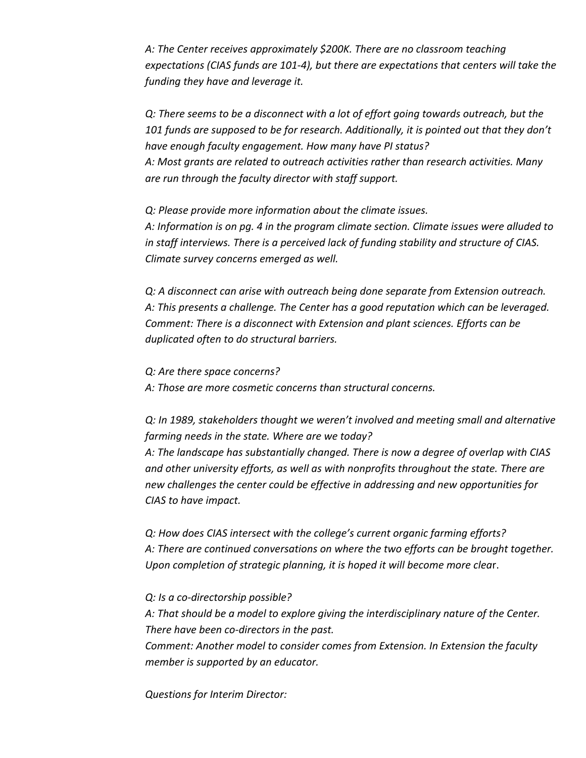*A: The Center receives approximately \$200K. There are no classroom teaching expectations (CIAS funds are 101-4), but there are expectations that centers will take the funding they have and leverage it.* 

*Q: There seems to be a disconnect with a lot of effort going towards outreach, but the 101 funds are supposed to be for research. Additionally, it is pointed out that they don't have enough faculty engagement. How many have PI status? A: Most grants are related to outreach activities rather than research activities. Many are run through the faculty director with staff support.*

*Q: Please provide more information about the climate issues. A: Information is on pg. 4 in the program climate section. Climate issues were alluded to in staff interviews. There is a perceived lack of funding stability and structure of CIAS. Climate survey concerns emerged as well.* 

*Q: A disconnect can arise with outreach being done separate from Extension outreach. A: This presents a challenge. The Center has a good reputation which can be leveraged. Comment: There is a disconnect with Extension and plant sciences. Efforts can be duplicated often to do structural barriers.* 

*Q: Are there space concerns? A: Those are more cosmetic concerns than structural concerns.*

*Q: In 1989, stakeholders thought we weren't involved and meeting small and alternative farming needs in the state. Where are we today?*

*A: The landscape has substantially changed. There is now a degree of overlap with CIAS and other university efforts, as well as with nonprofits throughout the state. There are new challenges the center could be effective in addressing and new opportunities for CIAS to have impact.* 

*Q: How does CIAS intersect with the college's current organic farming efforts? A: There are continued conversations on where the two efforts can be brought together. Upon completion of strategic planning, it is hoped it will become more clea*r.

*Q: Is a co-directorship possible?*

*A: That should be a model to explore giving the interdisciplinary nature of the Center. There have been co-directors in the past.* 

*Comment: Another model to consider comes from Extension. In Extension the faculty member is supported by an educator.* 

*Questions for Interim Director:*